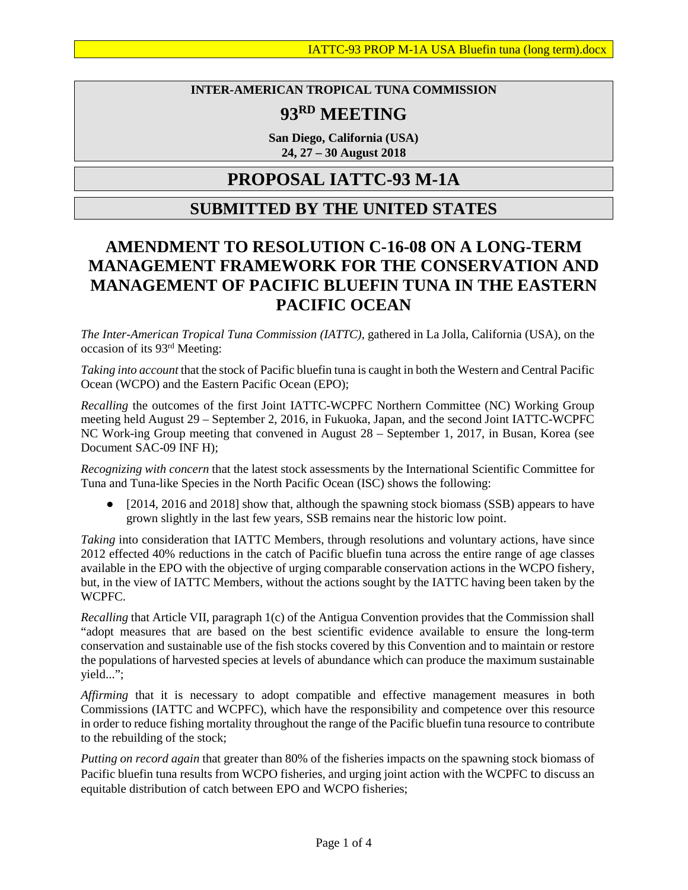#### **INTER-AMERICAN TROPICAL TUNA COMMISSION**

# **93RD MEETING**

**San Diego, California (USA) 24, 27 – 30 August 2018**

### **PROPOSAL IATTC-93 M-1A**

### **SUBMITTED BY THE UNITED STATES**

## **AMENDMENT TO RESOLUTION C-16-08 ON A LONG-TERM MANAGEMENT FRAMEWORK FOR THE CONSERVATION AND MANAGEMENT OF PACIFIC BLUEFIN TUNA IN THE EASTERN PACIFIC OCEAN**

*The Inter-American Tropical Tuna Commission (IATTC),* gathered in La Jolla, California (USA), on the occasion of its 93rd Meeting:

*Taking into account* that the stock of Pacific bluefin tuna is caught in both the Western and Central Pacific Ocean (WCPO) and the Eastern Pacific Ocean (EPO);

*Recalling* the outcomes of the first Joint IATTC-WCPFC Northern Committee (NC) Working Group meeting held August 29 – September 2, 2016, in Fukuoka, Japan, and the second Joint IATTC-WCPFC NC Work-ing Group meeting that convened in August 28 – September 1, 2017, in Busan, Korea (see Document SAC-09 INF H);

*Recognizing with concern* that the latest stock assessments by the International Scientific Committee for Tuna and Tuna-like Species in the North Pacific Ocean (ISC) shows the following:

• [2014, 2016 and 2018] show that, although the spawning stock biomass (SSB) appears to have grown slightly in the last few years, SSB remains near the historic low point.

*Taking* into consideration that IATTC Members, through resolutions and voluntary actions, have since 2012 effected 40% reductions in the catch of Pacific bluefin tuna across the entire range of age classes available in the EPO with the objective of urging comparable conservation actions in the WCPO fishery, but, in the view of IATTC Members, without the actions sought by the IATTC having been taken by the WCPFC.

*Recalling* that Article VII, paragraph 1(c) of the Antigua Convention provides that the Commission shall "adopt measures that are based on the best scientific evidence available to ensure the long-term conservation and sustainable use of the fish stocks covered by this Convention and to maintain or restore the populations of harvested species at levels of abundance which can produce the maximum sustainable yield...";

*Affirming* that it is necessary to adopt compatible and effective management measures in both Commissions (IATTC and WCPFC), which have the responsibility and competence over this resource in order to reduce fishing mortality throughout the range of the Pacific bluefin tuna resource to contribute to the rebuilding of the stock;

*Putting on record again* that greater than 80% of the fisheries impacts on the spawning stock biomass of Pacific bluefin tuna results from WCPO fisheries, and urging joint action with the WCPFC to discuss an equitable distribution of catch between EPO and WCPO fisheries;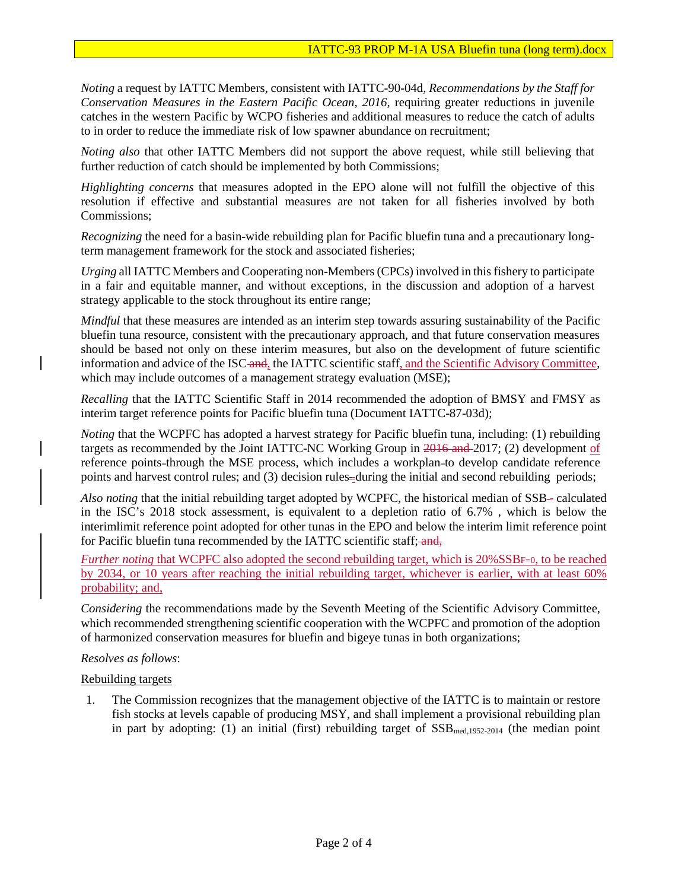*Noting* a request by IATTC Members, consistent with IATTC-90-04d, *Recommendations by the Staff for Conservation Measures in the Eastern Pacific Ocean, 2016*, requiring greater reductions in juvenile catches in the western Pacific by WCPO fisheries and additional measures to reduce the catch of adults to in order to reduce the immediate risk of low spawner abundance on recruitment;

*Noting also* that other IATTC Members did not support the above request, while still believing that further reduction of catch should be implemented by both Commissions;

*Highlighting concerns* that measures adopted in the EPO alone will not fulfill the objective of this resolution if effective and substantial measures are not taken for all fisheries involved by both Commissions;

*Recognizing* the need for a basin-wide rebuilding plan for Pacific bluefin tuna and a precautionary longterm management framework for the stock and associated fisheries;

*Urging* all IATTC Members and Cooperating non-Members (CPCs) involved in this fishery to participate in a fair and equitable manner, and without exceptions, in the discussion and adoption of a harvest strategy applicable to the stock throughout its entire range;

*Mindful* that these measures are intended as an interim step towards assuring sustainability of the Pacific bluefin tuna resource, consistent with the precautionary approach, and that future conservation measures should be based not only on these interim measures, but also on the development of future scientific information and advice of the ISC and, the IATTC scientific staff, and the Scientific Advisory Committee, which may include outcomes of a management strategy evaluation (MSE);

*Recalling* that the IATTC Scientific Staff in 2014 recommended the adoption of BMSY and FMSY as interim target reference points for Pacific bluefin tuna (Document IATTC-87-03d);

*Noting* that the WCPFC has adopted a harvest strategy for Pacific bluefin tuna, including: (1) rebuilding targets as recommended by the Joint IATTC-NC Working Group in 2016 and 2017; (2) development of reference points=through the MSE process, which includes a workplan=to develop candidate reference points and harvest control rules; and (3) decision rules-during the initial and second rebuilding periods;

*Also noting* that the initial rebuilding target adopted by WCPFC, the historical median of SSB-calculated in the ISC's 2018 stock assessment, is equivalent to a depletion ratio of 6.7% , which is below the interimlimit reference point adopted for other tunas in the EPO and below the interim limit reference point for Pacific bluefin tuna recommended by the IATTC scientific staff; and,

*Further noting* that WCPFC also adopted the second rebuilding target, which is 20%SSBF=0, to be reached by 2034, or 10 years after reaching the initial rebuilding target, whichever is earlier, with at least 60% probability; and,

*Considering* the recommendations made by the Seventh Meeting of the Scientific Advisory Committee, which recommended strengthening scientific cooperation with the WCPFC and promotion of the adoption of harmonized conservation measures for bluefin and bigeye tunas in both organizations;

#### *Resolves as follows*:

Rebuilding targets

1. The Commission recognizes that the management objective of the IATTC is to maintain or restore fish stocks at levels capable of producing MSY, and shall implement a provisional rebuilding plan in part by adopting: (1) an initial (first) rebuilding target of  $SSB_{med,1952-2014}$  (the median point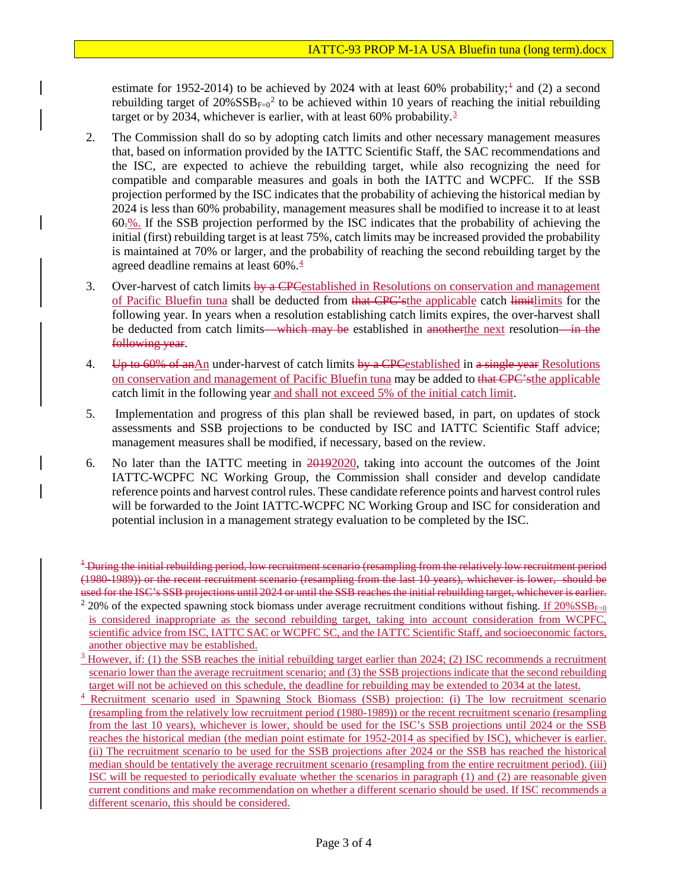estimate for [1](#page-2-0)952-2014) to be achieved by 2024 with at least  $60\%$  probability;<sup> $\pm$ </sup> and (2) a second rebuilding target of  $20\% SSB_{F=0}^2$  $20\% SSB_{F=0}^2$  to be achieved within 10 years of reaching the initial rebuilding target or by 20[3](#page-2-2)4, whichever is earlier, with at least 60% probability.<sup>3</sup>

- 2. The Commission shall do so by adopting catch limits and other necessary management measures that, based on information provided by the IATTC Scientific Staff, the SAC recommendations and the ISC, are expected to achieve the rebuilding target, while also recognizing the need for compatible and comparable measures and goals in both the IATTC and WCPFC. If the SSB projection performed by the ISC indicates that the probability of achieving the historical median by 2024 is less than 60% probability, management measures shall be modified to increase it to at least 60.%. If the SSB projection performed by the ISC indicates that the probability of achieving the initial (first) rebuilding target is at least 75%, catch limits may be increased provided the probability is maintained at 70% or larger, and the probability of reaching the second rebuilding target by the agreed deadline remains at least  $60\%$ .<sup>4</sup>
- 3. Over-harvest of catch limits  $\frac{b}{4}$  CPC established in Resolutions on conservation and management of Pacific Bluefin tuna shall be deducted from that CPC's the applicable catch limitlimits for the following year. In years when a resolution establishing catch limits expires, the over-harvest shall be deducted from catch limits—which may be established in another the next resolution—in the following year.
- 4. Up to 60% of anAn under-harvest of catch limits by a CPC established in a single year Resolutions on conservation and management of Pacific Bluefin tuna may be added to that CPC'sthe applicable catch limit in the following year and shall not exceed 5% of the initial catch limit.
- 5. Implementation and progress of this plan shall be reviewed based, in part, on updates of stock assessments and SSB projections to be conducted by ISC and IATTC Scientific Staff advice; management measures shall be modified, if necessary, based on the review.
- 6. No later than the IATTC meeting in 20192020, taking into account the outcomes of the Joint IATTC-WCPFC NC Working Group, the Commission shall consider and develop candidate reference points and harvest control rules. These candidate reference points and harvest control rules will be forwarded to the Joint IATTC-WCPFC NC Working Group and ISC for consideration and potential inclusion in a management strategy evaluation to be completed by the ISC.

<span id="page-2-0"></span><sup>&</sup>lt;sup>1</sup> During the initial rebuilding period, low recruitment scenario (resampling from the relatively low recruitment period (1980-1989)) or the recent recruitment scenario (resampling from the last 10 years), whichever is lower, should be used for the ISC's SSB projections until 2024 or until the SSB reaches the initial rebuilding target, whichever is earlier.

<span id="page-2-1"></span><sup>&</sup>lt;sup>2</sup> 20% of the expected spawning stock biomass under average recruitment conditions without fishing. If  $20\%SSB_{F=0}$ is considered inappropriate as the second rebuilding target, taking into account consideration from WCPFC, scientific advice from ISC, IATTC SAC or WCPFC SC, and the IATTC Scientific Staff, and socioeconomic factors, another objective may be established.

<span id="page-2-2"></span> $3$  However, if: (1) the SSB reaches the initial rebuilding target earlier than 2024; (2) ISC recommends a recruitment scenario lower than the average recruitment scenario; and (3) the SSB projections indicate that the second rebuilding target will not be achieved on this schedule, the deadline for rebuilding may be extended to 2034 at the latest.

<span id="page-2-3"></span><sup>4</sup> Recruitment scenario used in Spawning Stock Biomass (SSB) projection: (i) The low recruitment scenario (resampling from the relatively low recruitment period (1980-1989)) or the recent recruitment scenario (resampling from the last 10 years), whichever is lower, should be used for the ISC's SSB projections until 2024 or the SSB reaches the historical median (the median point estimate for 1952-2014 as specified by ISC), whichever is earlier. (ii) The recruitment scenario to be used for the SSB projections after 2024 or the SSB has reached the historical median should be tentatively the average recruitment scenario (resampling from the entire recruitment period). (iii) ISC will be requested to periodically evaluate whether the scenarios in paragraph (1) and (2) are reasonable given current conditions and make recommendation on whether a different scenario should be used. If ISC recommends a different scenario, this should be considered.